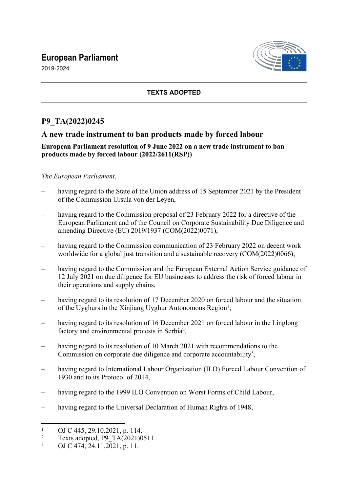# **European Parliament**

2019-2024



### **TEXTS ADOPTED**

## **P9\_TA(2022)0245**

## **A new trade instrument to ban products made by forced labour**

#### **European Parliament resolution of 9 June 2022 on a new trade instrument to ban products made by forced labour (2022/2611(RSP))**

#### *The European Parliament*,

- having regard to the State of the Union address of 15 September 2021 by the President of the Commission Ursula von der Leyen,
- having regard to the Commission proposal of 23 February 2022 for a directive of the European Parliament and of the Council on Corporate Sustainability Due Diligence and amending Directive (EU) 2019/1937 (COM(2022)0071),
- having regard to the Commission communication of 23 February 2022 on decent work worldwide for a global just transition and a sustainable recovery (COM(2022)0066),
- having regard to the Commission and the European External Action Service guidance of 12 July 2021 on due diligence for EU businesses to address the risk of forced labour in their operations and supply chains,
- having regard to its resolution of 17 December 2020 on forced labour and the situation of the Uyghurs in the Xinjiang Uyghur Autonomous Region<sup>1</sup>,
- having regard to its resolution of 16 December 2021 on forced labour in the Linglong factory and environmental protests in Serbia<sup>2</sup>,
- having regard to its resolution of 10 March 2021 with recommendations to the Commission on corporate due diligence and corporate accountability<sup>3</sup>,
- having regard to International Labour Organization (ILO) Forced Labour Convention of 1930 and to its Protocol of 2014,
- having regard to the 1999 ILO Convention on Worst Forms of Child Labour,
- having regard to the Universal Declaration of Human Rights of 1948,

<sup>1</sup> OJ C 445, 29.10.2021, p. 114.

<sup>2</sup> Texts adopted, P9\_TA(2021)0511.

<sup>3</sup> OJ C 474, 24.11.2021, p. 11.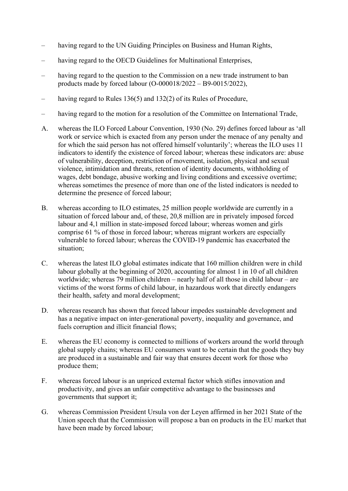- having regard to the UN Guiding Principles on Business and Human Rights,
- having regard to the OECD Guidelines for Multinational Enterprises,
- having regard to the question to the Commission on a new trade instrument to ban products made by forced labour (O-000018/2022 – B9-0015/2022),
- having regard to Rules 136(5) and 132(2) of its Rules of Procedure,
- having regard to the motion for a resolution of the Committee on International Trade,
- A. whereas the ILO Forced Labour Convention, 1930 (No. 29) defines forced labour as 'all work or service which is exacted from any person under the menace of any penalty and for which the said person has not offered himself voluntarily'; whereas the ILO uses 11 indicators to identify the existence of forced labour; whereas these indicators are: abuse of vulnerability, deception, restriction of movement, isolation, physical and sexual violence, intimidation and threats, retention of identity documents, withholding of wages, debt bondage, abusive working and living conditions and excessive overtime; whereas sometimes the presence of more than one of the listed indicators is needed to determine the presence of forced labour;
- B. whereas according to ILO estimates, 25 million people worldwide are currently in a situation of forced labour and, of these, 20,8 million are in privately imposed forced labour and 4,1 million in state-imposed forced labour; whereas women and girls comprise 61 % of those in forced labour; whereas migrant workers are especially vulnerable to forced labour; whereas the COVID-19 pandemic has exacerbated the situation;
- C. whereas the latest ILO global estimates indicate that 160 million children were in child labour globally at the beginning of 2020, accounting for almost 1 in 10 of all children worldwide; whereas 79 million children – nearly half of all those in child labour – are victims of the worst forms of child labour, in hazardous work that directly endangers their health, safety and moral development;
- D. whereas research has shown that forced labour impedes sustainable development and has a negative impact on inter-generational poverty, inequality and governance, and fuels corruption and illicit financial flows;
- E. whereas the EU economy is connected to millions of workers around the world through global supply chains; whereas EU consumers want to be certain that the goods they buy are produced in a sustainable and fair way that ensures decent work for those who produce them;
- F. whereas forced labour is an unpriced external factor which stifles innovation and productivity, and gives an unfair competitive advantage to the businesses and governments that support it;
- G. whereas Commission President Ursula von der Leyen affirmed in her 2021 State of the Union speech that the Commission will propose a ban on products in the EU market that have been made by forced labour;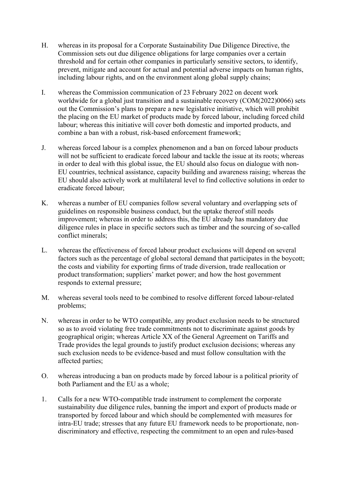- H. whereas in its proposal for a Corporate Sustainability Due Diligence Directive, the Commission sets out due diligence obligations for large companies over a certain threshold and for certain other companies in particularly sensitive sectors, to identify, prevent, mitigate and account for actual and potential adverse impacts on human rights, including labour rights, and on the environment along global supply chains;
- I. whereas the Commission communication of 23 February 2022 on decent work worldwide for a global just transition and a sustainable recovery (COM(2022)0066) sets out the Commission's plans to prepare a new legislative initiative, which will prohibit the placing on the EU market of products made by forced labour, including forced child labour; whereas this initiative will cover both domestic and imported products, and combine a ban with a robust, risk-based enforcement framework;
- J. whereas forced labour is a complex phenomenon and a ban on forced labour products will not be sufficient to eradicate forced labour and tackle the issue at its roots; whereas in order to deal with this global issue, the EU should also focus on dialogue with non-EU countries, technical assistance, capacity building and awareness raising; whereas the EU should also actively work at multilateral level to find collective solutions in order to eradicate forced labour;
- K. whereas a number of EU companies follow several voluntary and overlapping sets of guidelines on responsible business conduct, but the uptake thereof still needs improvement; whereas in order to address this, the EU already has mandatory due diligence rules in place in specific sectors such as timber and the sourcing of so-called conflict minerals;
- L. whereas the effectiveness of forced labour product exclusions will depend on several factors such as the percentage of global sectoral demand that participates in the boycott; the costs and viability for exporting firms of trade diversion, trade reallocation or product transformation; suppliers' market power; and how the host government responds to external pressure;
- M. whereas several tools need to be combined to resolve different forced labour-related problems;
- N. whereas in order to be WTO compatible, any product exclusion needs to be structured so as to avoid violating free trade commitments not to discriminate against goods by geographical origin; whereas Article XX of the General Agreement on Tariffs and Trade provides the legal grounds to justify product exclusion decisions; whereas any such exclusion needs to be evidence-based and must follow consultation with the affected parties;
- O. whereas introducing a ban on products made by forced labour is a political priority of both Parliament and the EU as a whole;
- 1. Calls for a new WTO-compatible trade instrument to complement the corporate sustainability due diligence rules, banning the import and export of products made or transported by forced labour and which should be complemented with measures for intra-EU trade; stresses that any future EU framework needs to be proportionate, nondiscriminatory and effective, respecting the commitment to an open and rules-based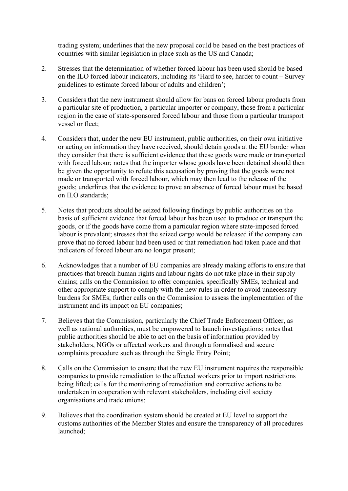trading system; underlines that the new proposal could be based on the best practices of countries with similar legislation in place such as the US and Canada;

- 2. Stresses that the determination of whether forced labour has been used should be based on the ILO forced labour indicators, including its 'Hard to see, harder to count – Survey guidelines to estimate forced labour of adults and children';
- 3. Considers that the new instrument should allow for bans on forced labour products from a particular site of production, a particular importer or company, those from a particular region in the case of state-sponsored forced labour and those from a particular transport vessel or fleet;
- 4. Considers that, under the new EU instrument, public authorities, on their own initiative or acting on information they have received, should detain goods at the EU border when they consider that there is sufficient evidence that these goods were made or transported with forced labour; notes that the importer whose goods have been detained should then be given the opportunity to refute this accusation by proving that the goods were not made or transported with forced labour, which may then lead to the release of the goods; underlines that the evidence to prove an absence of forced labour must be based on ILO standards;
- 5. Notes that products should be seized following findings by public authorities on the basis of sufficient evidence that forced labour has been used to produce or transport the goods, or if the goods have come from a particular region where state-imposed forced labour is prevalent; stresses that the seized cargo would be released if the company can prove that no forced labour had been used or that remediation had taken place and that indicators of forced labour are no longer present;
- 6. Acknowledges that a number of EU companies are already making efforts to ensure that practices that breach human rights and labour rights do not take place in their supply chains; calls on the Commission to offer companies, specifically SMEs, technical and other appropriate support to comply with the new rules in order to avoid unnecessary burdens for SMEs; further calls on the Commission to assess the implementation of the instrument and its impact on EU companies;
- 7. Believes that the Commission, particularly the Chief Trade Enforcement Officer, as well as national authorities, must be empowered to launch investigations; notes that public authorities should be able to act on the basis of information provided by stakeholders, NGOs or affected workers and through a formalised and secure complaints procedure such as through the Single Entry Point;
- 8. Calls on the Commission to ensure that the new EU instrument requires the responsible companies to provide remediation to the affected workers prior to import restrictions being lifted; calls for the monitoring of remediation and corrective actions to be undertaken in cooperation with relevant stakeholders, including civil society organisations and trade unions;
- 9. Believes that the coordination system should be created at EU level to support the customs authorities of the Member States and ensure the transparency of all procedures launched;